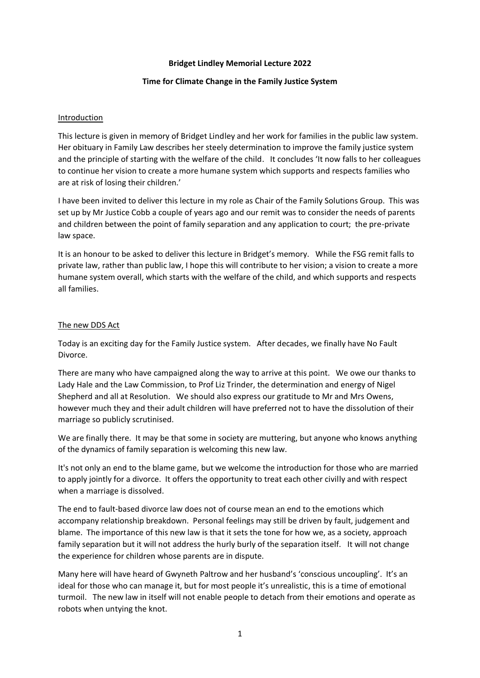### **Bridget Lindley Memorial Lecture 2022**

### **Time for Climate Change in the Family Justice System**

#### **Introduction**

This lecture is given in memory of Bridget Lindley and her work for families in the public law system. Her obituary in Family Law describes her steely determination to improve the family justice system and the principle of starting with the welfare of the child. It concludes 'It now falls to her colleagues to continue her vision to create a more humane system which supports and respects families who are at risk of losing their children.'

I have been invited to deliver this lecture in my role as Chair of the Family Solutions Group. This was set up by Mr Justice Cobb a couple of years ago and our remit was to consider the needs of parents and children between the point of family separation and any application to court; the pre-private law space.

It is an honour to be asked to deliver this lecture in Bridget's memory. While the FSG remit falls to private law, rather than public law, I hope this will contribute to her vision; a vision to create a more humane system overall, which starts with the welfare of the child, and which supports and respects all families.

#### The new DDS Act

Today is an exciting day for the Family Justice system. After decades, we finally have No Fault Divorce.

There are many who have campaigned along the way to arrive at this point. We owe our thanks to Lady Hale and the Law Commission, to Prof Liz Trinder, the determination and energy of Nigel Shepherd and all at Resolution. We should also express our gratitude to Mr and Mrs Owens, however much they and their adult children will have preferred not to have the dissolution of their marriage so publicly scrutinised.

We are finally there. It may be that some in society are muttering, but anyone who knows anything of the dynamics of family separation is welcoming this new law.

It's not only an end to the blame game, but we welcome the introduction for those who are married to apply jointly for a divorce. It offers the opportunity to treat each other civilly and with respect when a marriage is dissolved.

The end to fault-based divorce law does not of course mean an end to the emotions which accompany relationship breakdown. Personal feelings may still be driven by fault, judgement and blame. The importance of this new law is that it sets the tone for how we, as a society, approach family separation but it will not address the hurly burly of the separation itself. It will not change the experience for children whose parents are in dispute.

Many here will have heard of Gwyneth Paltrow and her husband's 'conscious uncoupling'. It's an ideal for those who can manage it, but for most people it's unrealistic, this is a time of emotional turmoil. The new law in itself will not enable people to detach from their emotions and operate as robots when untying the knot.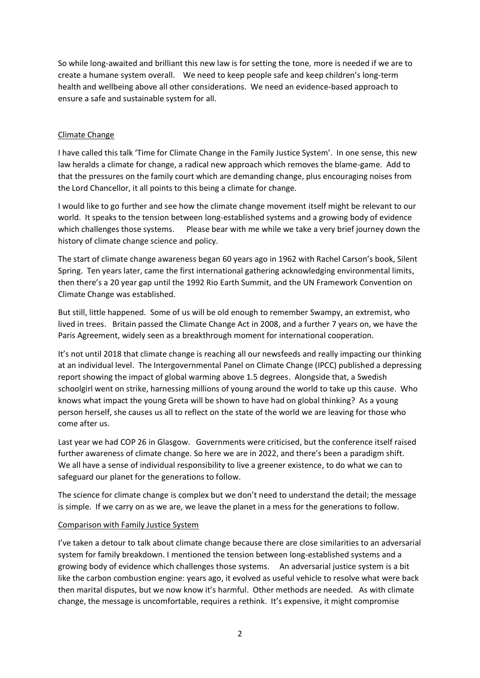So while long-awaited and brilliant this new law is for setting the tone, more is needed if we are to create a humane system overall. We need to keep people safe and keep children's long-term health and wellbeing above all other considerations. We need an evidence-based approach to ensure a safe and sustainable system for all.

## Climate Change

I have called this talk 'Time for Climate Change in the Family Justice System'. In one sense, this new law heralds a climate for change, a radical new approach which removes the blame-game. Add to that the pressures on the family court which are demanding change, plus encouraging noises from the Lord Chancellor, it all points to this being a climate for change.

I would like to go further and see how the climate change movement itself might be relevant to our world. It speaks to the tension between long-established systems and a growing body of evidence which challenges those systems. Please bear with me while we take a very brief journey down the history of climate change science and policy.

The start of climate change awareness began 60 years ago in 1962 with Rachel Carson's book, Silent Spring. Ten years later, came the first international gathering acknowledging environmental limits, then there's a 20 year gap until the 1992 Rio Earth Summit, and the UN Framework Convention on Climate Change was established.

But still, little happened. Some of us will be old enough to remember Swampy, an extremist, who lived in trees. Britain passed the Climate Change Act in 2008, and a further 7 years on, we have the Paris Agreement, widely seen as a breakthrough moment for international cooperation.

It's not until 2018 that climate change is reaching all our newsfeeds and really impacting our thinking at an individual level. The Intergovernmental Panel on Climate Change (IPCC) published a depressing report showing the impact of global warming above 1.5 degrees. Alongside that, a Swedish schoolgirl went on strike, harnessing millions of young around the world to take up this cause. Who knows what impact the young Greta will be shown to have had on global thinking? As a young person herself, she causes us all to reflect on the state of the world we are leaving for those who come after us.

Last year we had COP 26 in Glasgow. Governments were criticised, but the conference itself raised further awareness of climate change. So here we are in 2022, and there's been a paradigm shift. We all have a sense of individual responsibility to live a greener existence, to do what we can to safeguard our planet for the generations to follow.

The science for climate change is complex but we don't need to understand the detail; the message is simple. If we carry on as we are, we leave the planet in a mess for the generations to follow.

### Comparison with Family Justice System

I've taken a detour to talk about climate change because there are close similarities to an adversarial system for family breakdown. I mentioned the tension between long-established systems and a growing body of evidence which challenges those systems. An adversarial justice system is a bit like the carbon combustion engine: years ago, it evolved as useful vehicle to resolve what were back then marital disputes, but we now know it's harmful. Other methods are needed. As with climate change, the message is uncomfortable, requires a rethink. It's expensive, it might compromise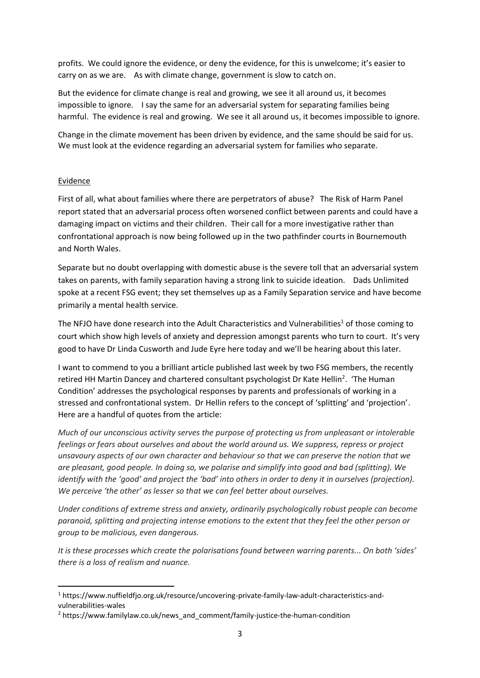profits. We could ignore the evidence, or deny the evidence, for this is unwelcome; it's easier to carry on as we are. As with climate change, government is slow to catch on.

But the evidence for climate change is real and growing, we see it all around us, it becomes impossible to ignore. I say the same for an adversarial system for separating families being harmful. The evidence is real and growing. We see it all around us, it becomes impossible to ignore.

Change in the climate movement has been driven by evidence, and the same should be said for us. We must look at the evidence regarding an adversarial system for families who separate.

### Evidence

First of all, what about families where there are perpetrators of abuse? The Risk of Harm Panel report stated that an adversarial process often worsened conflict between parents and could have a damaging impact on victims and their children. Their call for a more investigative rather than confrontational approach is now being followed up in the two pathfinder courts in Bournemouth and North Wales.

Separate but no doubt overlapping with domestic abuse is the severe toll that an adversarial system takes on parents, with family separation having a strong link to suicide ideation. Dads Unlimited spoke at a recent FSG event; they set themselves up as a Family Separation service and have become primarily a mental health service.

The NFJO have done research into the Adult Characteristics and Vulnerabilities<sup>1</sup> of those coming to court which show high levels of anxiety and depression amongst parents who turn to court. It's very good to have Dr Linda Cusworth and Jude Eyre here today and we'll be hearing about this later.

I want to commend to you a brilliant article published last week by two FSG members, the recently retired HH Martin Dancey and chartered consultant psychologist Dr Kate Hellin<sup>2</sup>. 'The Human Condition' addresses the psychological responses by parents and professionals of working in a stressed and confrontational system. Dr Hellin refers to the concept of 'splitting' and 'projection'. Here are a handful of quotes from the article:

*Much of our unconscious activity serves the purpose of protecting us from unpleasant or intolerable feelings or fears about ourselves and about the world around us. We suppress, repress or project unsavoury aspects of our own character and behaviour so that we can preserve the notion that we are pleasant, good people. In doing so, we polarise and simplify into good and bad (splitting). We identify with the 'good' and project the 'bad' into others in order to deny it in ourselves (projection). We perceive 'the other' as lesser so that we can feel better about ourselves.*

*Under conditions of extreme stress and anxiety, ordinarily psychologically robust people can become paranoid, splitting and projecting intense emotions to the extent that they feel the other person or group to be malicious, even dangerous.*

*It is these processes which create the polarisations found between warring parents... On both 'sides' there is a loss of realism and nuance.*

<sup>1</sup> https://www.nuffieldfjo.org.uk/resource/uncovering-private-family-law-adult-characteristics-andvulnerabilities-wales

<sup>2</sup> https://www.familylaw.co.uk/news\_and\_comment/family-justice-the-human-condition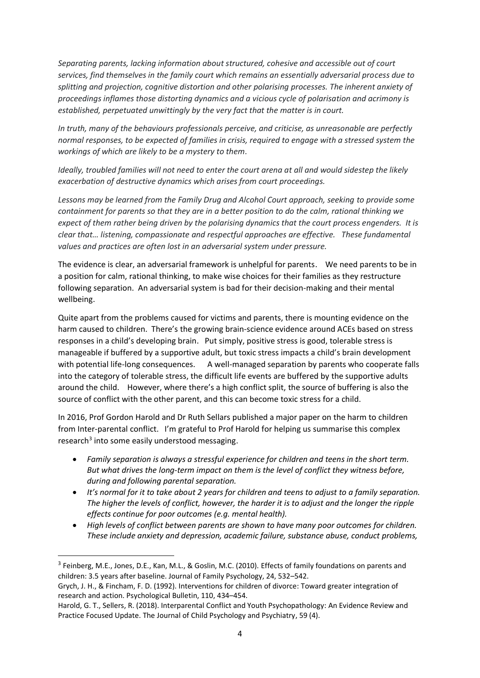*Separating parents, lacking information about structured, cohesive and accessible out of court services, find themselves in the family court which remains an essentially adversarial process due to splitting and projection, cognitive distortion and other polarising processes. The inherent anxiety of proceedings inflames those distorting dynamics and a vicious cycle of polarisation and acrimony is established, perpetuated unwittingly by the very fact that the matter is in court.*

*In truth, many of the behaviours professionals perceive, and criticise, as unreasonable are perfectly normal responses, to be expected of families in crisis, required to engage with a stressed system the workings of which are likely to be a mystery to them.*

*Ideally, troubled families will not need to enter the court arena at all and would sidestep the likely exacerbation of destructive dynamics which arises from court proceedings.*

*Lessons may be learned from the Family Drug and Alcohol Court approach, seeking to provide some containment for parents so that they are in a better position to do the calm, rational thinking we expect of them rather being driven by the polarising dynamics that the court process engenders. It is clear that… listening, compassionate and respectful approaches are effective. These fundamental values and practices are often lost in an adversarial system under pressure.* 

The evidence is clear, an adversarial framework is unhelpful for parents. We need parents to be in a position for calm, rational thinking, to make wise choices for their families as they restructure following separation. An adversarial system is bad for their decision-making and their mental wellbeing.

Quite apart from the problems caused for victims and parents, there is mounting evidence on the harm caused to children. There's the growing brain-science evidence around ACEs based on stress responses in a child's developing brain. Put simply, positive stress is good, tolerable stress is manageable if buffered by a supportive adult, but toxic stress impacts a child's brain development with potential life-long consequences. A well-managed separation by parents who cooperate falls into the category of tolerable stress, the difficult life events are buffered by the supportive adults around the child. However, where there's a high conflict split, the source of buffering is also the source of conflict with the other parent, and this can become toxic stress for a child.

In 2016, Prof Gordon Harold and Dr Ruth Sellars published a major paper on the harm to children from Inter-parental conflict. I'm grateful to Prof Harold for helping us summarise this complex research<sup>3</sup> into some easily understood messaging.

- *Family separation is always a stressful experience for children and teens in the short term. But what drives the long-term impact on them is the level of conflict they witness before, during and following parental separation.*
- *It's normal for it to take about 2 years for children and teens to adjust to a family separation. The higher the levels of conflict, however, the harder it is to adjust and the longer the ripple effects continue for poor outcomes (e.g. mental health).*
- *High levels of conflict between parents are shown to have many poor outcomes for children. These include anxiety and depression, academic failure, substance abuse, conduct problems,*

<sup>&</sup>lt;sup>3</sup> Feinberg, M.E., Jones, D.E., Kan, M.L., & Goslin, M.C. (2010). Effects of family foundations on parents and children: 3.5 years after baseline. Journal of Family Psychology, 24, 532–542.

Grych, J. H., & Fincham, F. D. (1992). Interventions for children of divorce: Toward greater integration of research and action. Psychological Bulletin, 110, 434–454.

Harold, G. T., Sellers, R. (2018). Interparental Conflict and Youth Psychopathology: An Evidence Review and Practice Focused Update. The Journal of Child Psychology and Psychiatry, 59 (4).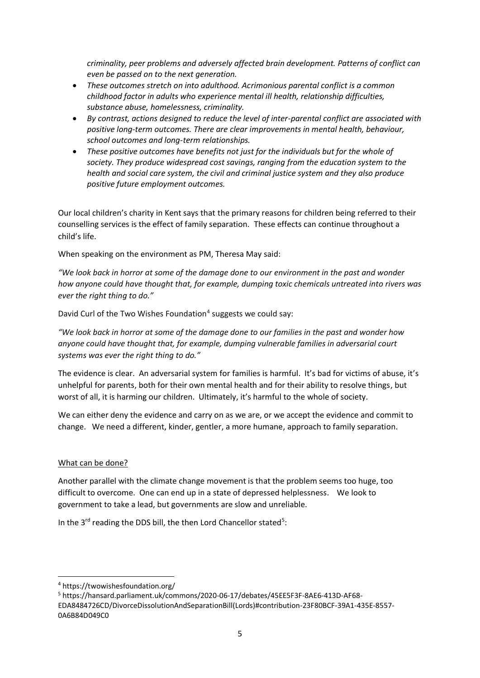*criminality, peer problems and adversely affected brain development. Patterns of conflict can even be passed on to the next generation.* 

- *These outcomes stretch on into adulthood. Acrimonious parental conflict is a common childhood factor in adults who experience mental ill health, relationship difficulties, substance abuse, homelessness, criminality.*
- *By contrast, actions designed to reduce the level of inter-parental conflict are associated with positive long-term outcomes. There are clear improvements in mental health, behaviour, school outcomes and long-term relationships.*
- *These positive outcomes have benefits not just for the individuals but for the whole of society. They produce widespread cost savings, ranging from the education system to the health and social care system, the civil and criminal justice system and they also produce positive future employment outcomes.*

Our local children's charity in Kent says that the primary reasons for children being referred to their counselling services is the effect of family separation. These effects can continue throughout a child's life.

When speaking on the environment as PM, Theresa May said:

*"We look back in horror at some of the damage done to our environment in the past and wonder how anyone could have thought that, for example, dumping toxic chemicals untreated into rivers was ever the right thing to do."*

David Curl of the Two Wishes Foundation<sup>4</sup> suggests we could say:

*"We look back in horror at some of the damage done to our families in the past and wonder how anyone could have thought that, for example, dumping vulnerable families in adversarial court systems was ever the right thing to do."* 

The evidence is clear. An adversarial system for families is harmful. It's bad for victims of abuse, it's unhelpful for parents, both for their own mental health and for their ability to resolve things, but worst of all, it is harming our children. Ultimately, it's harmful to the whole of society.

We can either deny the evidence and carry on as we are, or we accept the evidence and commit to change. We need a different, kinder, gentler, a more humane, approach to family separation.

# What can be done?

Another parallel with the climate change movement is that the problem seems too huge, too difficult to overcome. One can end up in a state of depressed helplessness. We look to government to take a lead, but governments are slow and unreliable.

In the 3<sup>rd</sup> reading the DDS bill, the then Lord Chancellor stated<sup>5</sup>:

<sup>4</sup> https://twowishesfoundation.org/

<sup>5</sup> [https://hansard.parliament.uk/commons/2020-06-17/debates/45EE5F3F-8AE6-413D-AF68-](https://hansard.parliament.uk/commons/2020-06-17/debates/45EE5F3F-8AE6-413D-AF68-EDA8484726CD/DivorceDissolutionAndSeparationBill(Lords)#contribution-23F80BCF-39A1-435E-8557-0A6B84D049C0) [EDA8484726CD/DivorceDissolutionAndSeparationBill\(Lords\)#contribution-23F80BCF-39A1-435E-8557-](https://hansard.parliament.uk/commons/2020-06-17/debates/45EE5F3F-8AE6-413D-AF68-EDA8484726CD/DivorceDissolutionAndSeparationBill(Lords)#contribution-23F80BCF-39A1-435E-8557-0A6B84D049C0) [0A6B84D049C0](https://hansard.parliament.uk/commons/2020-06-17/debates/45EE5F3F-8AE6-413D-AF68-EDA8484726CD/DivorceDissolutionAndSeparationBill(Lords)#contribution-23F80BCF-39A1-435E-8557-0A6B84D049C0)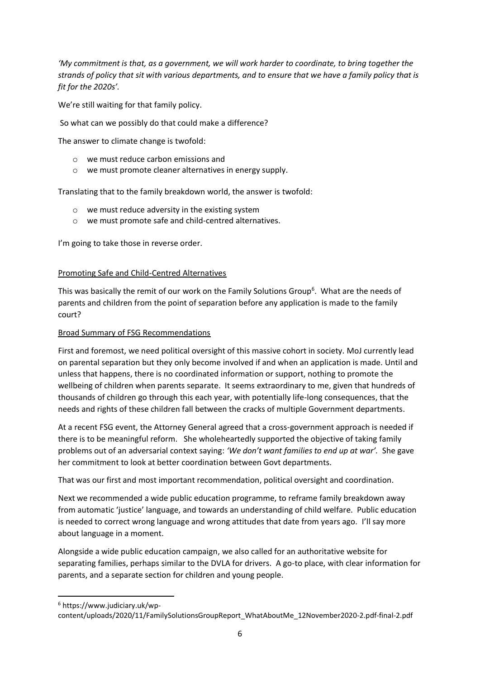*'My commitment is that, as a government, we will work harder to coordinate, to bring together the strands of policy that sit with various departments, and to ensure that we have a family policy that is fit for the 2020s'.* 

We're still waiting for that family policy.

So what can we possibly do that could make a difference?

The answer to climate change is twofold:

- o we must reduce carbon emissions and
- o we must promote cleaner alternatives in energy supply.

Translating that to the family breakdown world, the answer is twofold:

- o we must reduce adversity in the existing system
- o we must promote safe and child-centred alternatives.

I'm going to take those in reverse order.

## Promoting Safe and Child-Centred Alternatives

This was basically the remit of our work on the Family Solutions Group<sup>6</sup>. What are the needs of parents and children from the point of separation before any application is made to the family court?

## Broad Summary of FSG Recommendations

First and foremost, we need political oversight of this massive cohort in society. MoJ currently lead on parental separation but they only become involved if and when an application is made. Until and unless that happens, there is no coordinated information or support, nothing to promote the wellbeing of children when parents separate. It seems extraordinary to me, given that hundreds of thousands of children go through this each year, with potentially life-long consequences, that the needs and rights of these children fall between the cracks of multiple Government departments.

At a recent FSG event, the Attorney General agreed that a cross-government approach is needed if there is to be meaningful reform. She wholeheartedly supported the objective of taking family problems out of an adversarial context saying: *'We don't want families to end up at war'.* She gave her commitment to look at better coordination between Govt departments.

That was our first and most important recommendation, political oversight and coordination.

Next we recommended a wide public education programme, to reframe family breakdown away from automatic 'justice' language, and towards an understanding of child welfare. Public education is needed to correct wrong language and wrong attitudes that date from years ago. I'll say more about language in a moment.

Alongside a wide public education campaign, we also called for an authoritative website for separating families, perhaps similar to the DVLA for drivers. A go-to place, with clear information for parents, and a separate section for children and young people.

<sup>6</sup> https://www.judiciary.uk/wp-

content/uploads/2020/11/FamilySolutionsGroupReport\_WhatAboutMe\_12November2020-2.pdf-final-2.pdf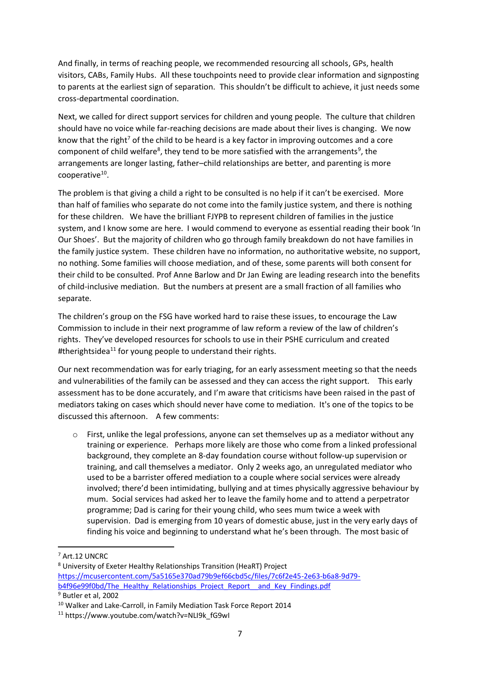And finally, in terms of reaching people, we recommended resourcing all schools, GPs, health visitors, CABs, Family Hubs. All these touchpoints need to provide clear information and signposting to parents at the earliest sign of separation. This shouldn't be difficult to achieve, it just needs some cross-departmental coordination.

Next, we called for direct support services for children and young people. The culture that children should have no voice while far-reaching decisions are made about their lives is changing. We now know that the right<sup>7</sup> of the child to be heard is a key factor in improving outcomes and a core component of child welfare<sup>8</sup>, they tend to be more satisfied with the arrangements<sup>9</sup>, the arrangements are longer lasting, father–child relationships are better, and parenting is more cooperative<sup>10</sup>.

The problem is that giving a child a right to be consulted is no help if it can't be exercised. More than half of families who separate do not come into the family justice system, and there is nothing for these children. We have the brilliant FJYPB to represent children of families in the justice system, and I know some are here. I would commend to everyone as essential reading their book 'In Our Shoes'. But the majority of children who go through family breakdown do not have families in the family justice system. These children have no information, no authoritative website, no support, no nothing. Some families will choose mediation, and of these, some parents will both consent for their child to be consulted. Prof Anne Barlow and Dr Jan Ewing are leading research into the benefits of child-inclusive mediation. But the numbers at present are a small fraction of all families who separate.

The children's group on the FSG have worked hard to raise these issues, to encourage the Law Commission to include in their next programme of law reform a review of the law of children's rights. They've developed resources for schools to use in their PSHE curriculum and created #therightsidea<sup>11</sup> for young people to understand their rights.

Our next recommendation was for early triaging, for an early assessment meeting so that the needs and vulnerabilities of the family can be assessed and they can access the right support. This early assessment has to be done accurately, and I'm aware that criticisms have been raised in the past of mediators taking on cases which should never have come to mediation. It's one of the topics to be discussed this afternoon. A few comments:

 $\circ$  First, unlike the legal professions, anyone can set themselves up as a mediator without any training or experience. Perhaps more likely are those who come from a linked professional background, they complete an 8-day foundation course without follow-up supervision or training, and call themselves a mediator. Only 2 weeks ago, an unregulated mediator who used to be a barrister offered mediation to a couple where social services were already involved; there'd been intimidating, bullying and at times physically aggressive behaviour by mum. Social services had asked her to leave the family home and to attend a perpetrator programme; Dad is caring for their young child, who sees mum twice a week with supervision. Dad is emerging from 10 years of domestic abuse, just in the very early days of finding his voice and beginning to understand what he's been through. The most basic of

<sup>7</sup> Art.12 UNCRC

<sup>8</sup> University of Exeter Healthy Relationships Transition (HeaRT) Project [https://mcusercontent.com/5a5165e370ad79b9ef66cbd5c/files/7c6f2e45-2e63-b6a8-9d79](https://mcusercontent.com/5a5165e370ad79b9ef66cbd5c/files/7c6f2e45-2e63-b6a8-9d79-b4f96e99f0bd/The_Healthy_Relationships_Project_Report__and_Key_Findings.pdf) b4f96e99f0bd/The\_Healthy\_Relationships\_Project\_Report\_and\_Key\_Findings.pdf <sup>9</sup> Butler et al, 2002

<sup>&</sup>lt;sup>10</sup> Walker and Lake-Carroll, in Family Mediation Task Force Report 2014

<sup>11</sup> https://www.youtube.com/watch?v=NLI9k\_fG9wI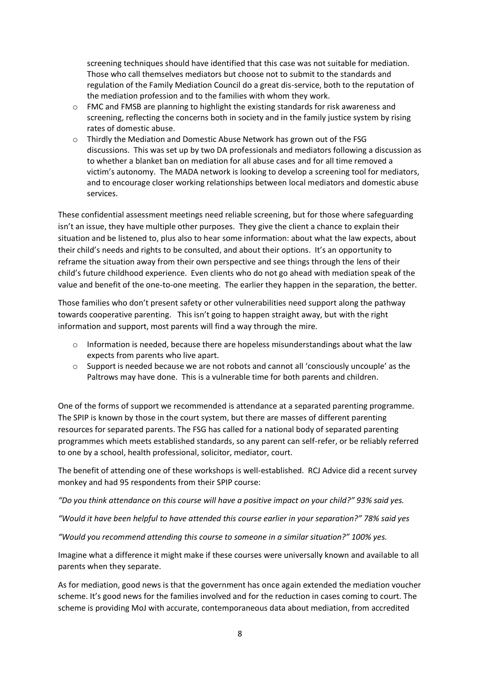screening techniques should have identified that this case was not suitable for mediation. Those who call themselves mediators but choose not to submit to the standards and regulation of the Family Mediation Council do a great dis-service, both to the reputation of the mediation profession and to the families with whom they work.

- o FMC and FMSB are planning to highlight the existing standards for risk awareness and screening, reflecting the concerns both in society and in the family justice system by rising rates of domestic abuse.
- $\circ$  Thirdly the Mediation and Domestic Abuse Network has grown out of the FSG discussions. This was set up by two DA professionals and mediators following a discussion as to whether a blanket ban on mediation for all abuse cases and for all time removed a victim's autonomy. The MADA network is looking to develop a screening tool for mediators, and to encourage closer working relationships between local mediators and domestic abuse services.

These confidential assessment meetings need reliable screening, but for those where safeguarding isn't an issue, they have multiple other purposes. They give the client a chance to explain their situation and be listened to, plus also to hear some information: about what the law expects, about their child's needs and rights to be consulted, and about their options. It's an opportunity to reframe the situation away from their own perspective and see things through the lens of their child's future childhood experience. Even clients who do not go ahead with mediation speak of the value and benefit of the one-to-one meeting. The earlier they happen in the separation, the better.

Those families who don't present safety or other vulnerabilities need support along the pathway towards cooperative parenting. This isn't going to happen straight away, but with the right information and support, most parents will find a way through the mire.

- $\circ$  Information is needed, because there are hopeless misunderstandings about what the law expects from parents who live apart.
- $\circ$  Support is needed because we are not robots and cannot all 'consciously uncouple' as the Paltrows may have done. This is a vulnerable time for both parents and children.

One of the forms of support we recommended is attendance at a separated parenting programme. The SPIP is known by those in the court system, but there are masses of different parenting resources for separated parents. The FSG has called for a national body of separated parenting programmes which meets established standards, so any parent can self-refer, or be reliably referred to one by a school, health professional, solicitor, mediator, court.

The benefit of attending one of these workshops is well-established. RCJ Advice did a recent survey monkey and had 95 respondents from their SPIP course:

*"Do you think attendance on this course will have a positive impact on your child?" 93% said yes.* 

*"Would it have been helpful to have attended this course earlier in your separation?" 78% said yes*

*"Would you recommend attending this course to someone in a similar situation?" 100% yes.*

Imagine what a difference it might make if these courses were universally known and available to all parents when they separate.

As for mediation, good news is that the government has once again extended the mediation voucher scheme. It's good news for the families involved and for the reduction in cases coming to court. The scheme is providing MoJ with accurate, contemporaneous data about mediation, from accredited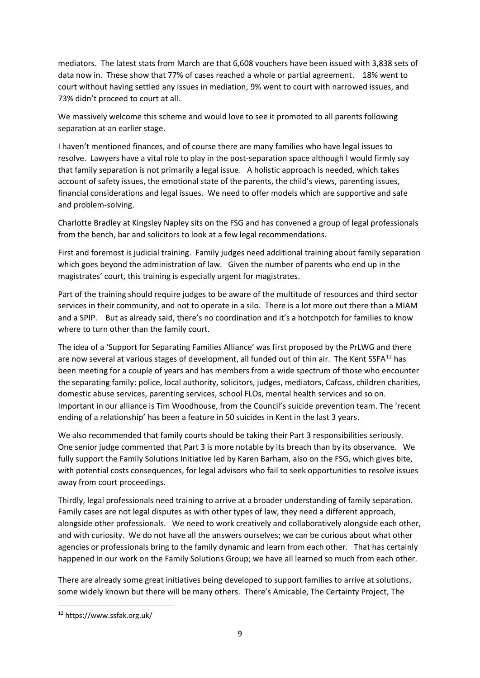mediators. The latest stats from March are that 6,608 vouchers have been issued with 3,838 sets of data now in. These show that 77% of cases reached a whole or partial agreement. 18% went to court without having settled any issues in mediation, 9% went to court with narrowed issues, and 73% didn't proceed to court at all.

We massively welcome this scheme and would love to see it promoted to all parents following separation at an earlier stage.

I haven't mentioned finances, and of course there are many families who have legal issues to resolve. Lawyers have a vital role to play in the post-separation space although I would firmly say that family separation is not primarily a legal issue. A holistic approach is needed, which takes account of safety issues, the emotional state of the parents, the child's views, parenting issues, financial considerations and legal issues. We need to offer models which are supportive and safe and problem-solving.

Charlotte Bradley at Kingsley Napley sits on the FSG and has convened a group of legal professionals from the bench, bar and solicitors to look at a few legal recommendations.

First and foremost is judicial training. Family judges need additional training about family separation which goes beyond the administration of law. Given the number of parents who end up in the magistrates' court, this training is especially urgent for magistrates.

Part of the training should require judges to be aware of the multitude of resources and third sector services in their community, and not to operate in a silo. There is a lot more out there than a MIAM and a SPIP. But as already said, there's no coordination and it's a hotchpotch for families to know where to turn other than the family court.

The idea of a 'Support for Separating Families Alliance' was first proposed by the PrLWG and there are now several at various stages of development, all funded out of thin air. The Kent SSFA<sup>12</sup> has been meeting for a couple of years and has members from a wide spectrum of those who encounter the separating family: police, local authority, solicitors, judges, mediators, Cafcass, children charities, domestic abuse services, parenting services, school FLOs, mental health services and so on. Important in our alliance is Tim Woodhouse, from the Council's suicide prevention team. The 'recent ending of a relationship' has been a feature in 50 suicides in Kent in the last 3 years.

We also recommended that family courts should be taking their Part 3 responsibilities seriously. One senior judge commented that Part 3 is more notable by its breach than by its observance. We fully support the Family Solutions Initiative led by Karen Barham, also on the FSG, which gives bite, with potential costs consequences, for legal advisors who fail to seek opportunities to resolve issues away from court proceedings.

Thirdly, legal professionals need training to arrive at a broader understanding of family separation. Family cases are not legal disputes as with other types of law, they need a different approach, alongside other professionals. We need to work creatively and collaboratively alongside each other, and with curiosity. We do not have all the answers ourselves; we can be curious about what other agencies or professionals bring to the family dynamic and learn from each other. That has certainly happened in our work on the Family Solutions Group; we have all learned so much from each other.

There are already some great initiatives being developed to support families to arrive at solutions, some widely known but there will be many others. There's Amicable, The Certainty Project, The

<sup>12</sup> https://www.ssfak.org.uk/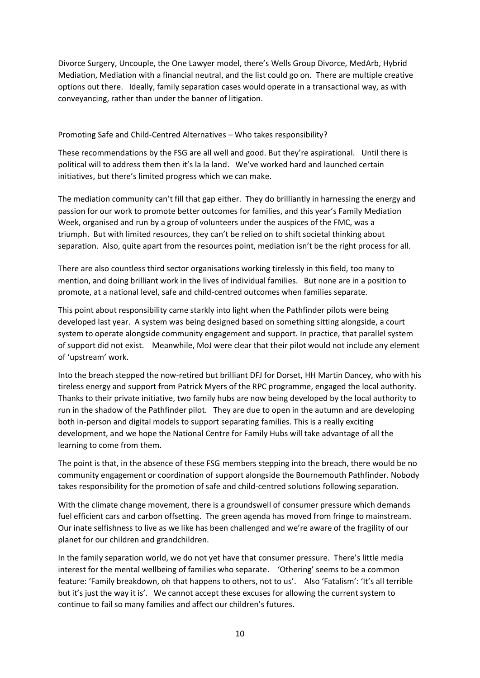Divorce Surgery, Uncouple, the One Lawyer model, there's Wells Group Divorce, MedArb, Hybrid Mediation, Mediation with a financial neutral, and the list could go on. There are multiple creative options out there. Ideally, family separation cases would operate in a transactional way, as with conveyancing, rather than under the banner of litigation.

## Promoting Safe and Child-Centred Alternatives – Who takes responsibility?

These recommendations by the FSG are all well and good. But they're aspirational. Until there is political will to address them then it's la la land. We've worked hard and launched certain initiatives, but there's limited progress which we can make.

The mediation community can't fill that gap either. They do brilliantly in harnessing the energy and passion for our work to promote better outcomes for families, and this year's Family Mediation Week, organised and run by a group of volunteers under the auspices of the FMC, was a triumph. But with limited resources, they can't be relied on to shift societal thinking about separation. Also, quite apart from the resources point, mediation isn't be the right process for all.

There are also countless third sector organisations working tirelessly in this field, too many to mention, and doing brilliant work in the lives of individual families. But none are in a position to promote, at a national level, safe and child-centred outcomes when families separate.

This point about responsibility came starkly into light when the Pathfinder pilots were being developed last year. A system was being designed based on something sitting alongside, a court system to operate alongside community engagement and support. In practice, that parallel system of support did not exist. Meanwhile, MoJ were clear that their pilot would not include any element of 'upstream' work.

Into the breach stepped the now-retired but brilliant DFJ for Dorset, HH Martin Dancey, who with his tireless energy and support from Patrick Myers of the RPC programme, engaged the local authority. Thanks to their private initiative, two family hubs are now being developed by the local authority to run in the shadow of the Pathfinder pilot. They are due to open in the autumn and are developing both in-person and digital models to support separating families. This is a really exciting development, and we hope the National Centre for Family Hubs will take advantage of all the learning to come from them.

The point is that, in the absence of these FSG members stepping into the breach, there would be no community engagement or coordination of support alongside the Bournemouth Pathfinder. Nobody takes responsibility for the promotion of safe and child-centred solutions following separation.

With the climate change movement, there is a groundswell of consumer pressure which demands fuel efficient cars and carbon offsetting. The green agenda has moved from fringe to mainstream. Our inate selfishness to live as we like has been challenged and we're aware of the fragility of our planet for our children and grandchildren.

In the family separation world, we do not yet have that consumer pressure. There's little media interest for the mental wellbeing of families who separate. 'Othering' seems to be a common feature: 'Family breakdown, oh that happens to others, not to us'. Also 'Fatalism': 'It's all terrible but it's just the way it is'. We cannot accept these excuses for allowing the current system to continue to fail so many families and affect our children's futures.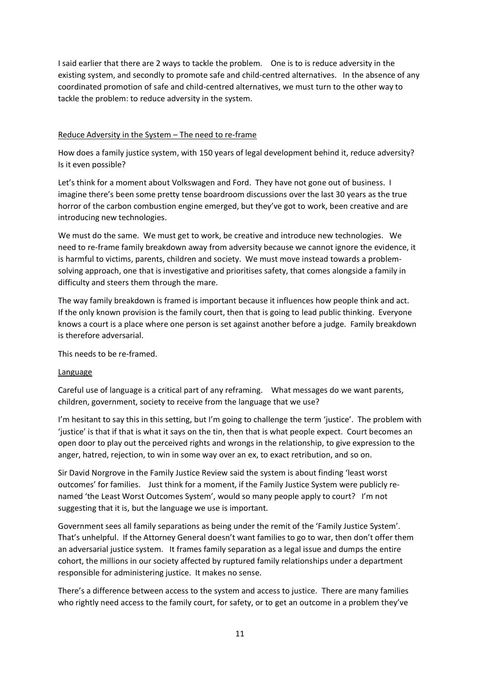I said earlier that there are 2 ways to tackle the problem. One is to is reduce adversity in the existing system, and secondly to promote safe and child-centred alternatives. In the absence of any coordinated promotion of safe and child-centred alternatives, we must turn to the other way to tackle the problem: to reduce adversity in the system.

## Reduce Adversity in the System – The need to re-frame

How does a family justice system, with 150 years of legal development behind it, reduce adversity? Is it even possible?

Let's think for a moment about Volkswagen and Ford. They have not gone out of business. I imagine there's been some pretty tense boardroom discussions over the last 30 years as the true horror of the carbon combustion engine emerged, but they've got to work, been creative and are introducing new technologies.

We must do the same. We must get to work, be creative and introduce new technologies. We need to re-frame family breakdown away from adversity because we cannot ignore the evidence, it is harmful to victims, parents, children and society. We must move instead towards a problemsolving approach, one that is investigative and prioritises safety, that comes alongside a family in difficulty and steers them through the mare.

The way family breakdown is framed is important because it influences how people think and act. If the only known provision is the family court, then that is going to lead public thinking. Everyone knows a court is a place where one person is set against another before a judge. Family breakdown is therefore adversarial.

This needs to be re-framed.

### Language

Careful use of language is a critical part of any reframing. What messages do we want parents, children, government, society to receive from the language that we use?

I'm hesitant to say this in this setting, but I'm going to challenge the term 'justice'. The problem with 'justice' is that if that is what it says on the tin, then that is what people expect. Court becomes an open door to play out the perceived rights and wrongs in the relationship, to give expression to the anger, hatred, rejection, to win in some way over an ex, to exact retribution, and so on.

Sir David Norgrove in the Family Justice Review said the system is about finding 'least worst outcomes' for families. Just think for a moment, if the Family Justice System were publicly renamed 'the Least Worst Outcomes System', would so many people apply to court? I'm not suggesting that it is, but the language we use is important.

Government sees all family separations as being under the remit of the 'Family Justice System'. That's unhelpful. If the Attorney General doesn't want families to go to war, then don't offer them an adversarial justice system. It frames family separation as a legal issue and dumps the entire cohort, the millions in our society affected by ruptured family relationships under a department responsible for administering justice. It makes no sense.

There's a difference between access to the system and access to justice. There are many families who rightly need access to the family court, for safety, or to get an outcome in a problem they've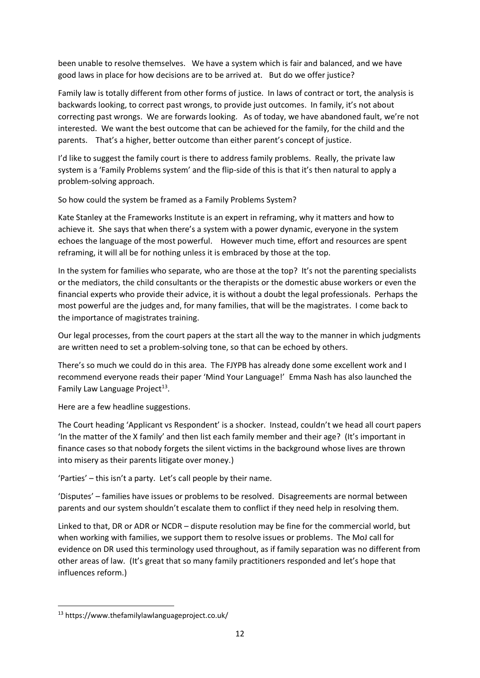been unable to resolve themselves. We have a system which is fair and balanced, and we have good laws in place for how decisions are to be arrived at. But do we offer justice?

Family law is totally different from other forms of justice. In laws of contract or tort, the analysis is backwards looking, to correct past wrongs, to provide just outcomes. In family, it's not about correcting past wrongs. We are forwards looking. As of today, we have abandoned fault, we're not interested. We want the best outcome that can be achieved for the family, for the child and the parents. That's a higher, better outcome than either parent's concept of justice.

I'd like to suggest the family court is there to address family problems. Really, the private law system is a 'Family Problems system' and the flip-side of this is that it's then natural to apply a problem-solving approach.

So how could the system be framed as a Family Problems System?

Kate Stanley at the Frameworks Institute is an expert in reframing, why it matters and how to achieve it. She says that when there's a system with a power dynamic, everyone in the system echoes the language of the most powerful. However much time, effort and resources are spent reframing, it will all be for nothing unless it is embraced by those at the top.

In the system for families who separate, who are those at the top? It's not the parenting specialists or the mediators, the child consultants or the therapists or the domestic abuse workers or even the financial experts who provide their advice, it is without a doubt the legal professionals. Perhaps the most powerful are the judges and, for many families, that will be the magistrates. I come back to the importance of magistrates training.

Our legal processes, from the court papers at the start all the way to the manner in which judgments are written need to set a problem-solving tone, so that can be echoed by others.

There's so much we could do in this area. The FJYPB has already done some excellent work and I recommend everyone reads their paper 'Mind Your Language!' Emma Nash has also launched the Family Law Language Project<sup>13</sup>.

Here are a few headline suggestions.

The Court heading 'Applicant vs Respondent' is a shocker. Instead, couldn't we head all court papers 'In the matter of the X family' and then list each family member and their age? (It's important in finance cases so that nobody forgets the silent victims in the background whose lives are thrown into misery as their parents litigate over money.)

'Parties' – this isn't a party. Let's call people by their name.

'Disputes' – families have issues or problems to be resolved. Disagreements are normal between parents and our system shouldn't escalate them to conflict if they need help in resolving them.

Linked to that, DR or ADR or NCDR – dispute resolution may be fine for the commercial world, but when working with families, we support them to resolve issues or problems. The MoJ call for evidence on DR used this terminology used throughout, as if family separation was no different from other areas of law. (It's great that so many family practitioners responded and let's hope that influences reform.)

<sup>13</sup> https://www.thefamilylawlanguageproject.co.uk/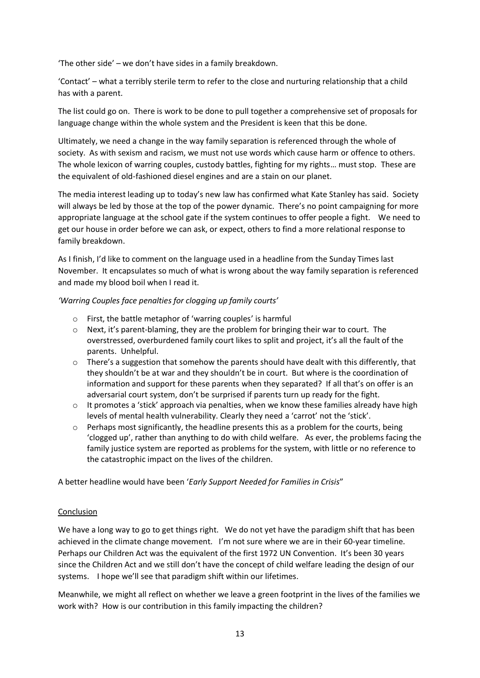'The other side' – we don't have sides in a family breakdown.

'Contact' – what a terribly sterile term to refer to the close and nurturing relationship that a child has with a parent.

The list could go on. There is work to be done to pull together a comprehensive set of proposals for language change within the whole system and the President is keen that this be done.

Ultimately, we need a change in the way family separation is referenced through the whole of society. As with sexism and racism, we must not use words which cause harm or offence to others. The whole lexicon of warring couples, custody battles, fighting for my rights… must stop. These are the equivalent of old-fashioned diesel engines and are a stain on our planet.

The media interest leading up to today's new law has confirmed what Kate Stanley has said. Society will always be led by those at the top of the power dynamic. There's no point campaigning for more appropriate language at the school gate if the system continues to offer people a fight. We need to get our house in order before we can ask, or expect, others to find a more relational response to family breakdown.

As I finish, I'd like to comment on the language used in a headline from the Sunday Times last November. It encapsulates so much of what is wrong about the way family separation is referenced and made my blood boil when I read it.

## *'Warring Couples face penalties for clogging up family courts'*

- o First, the battle metaphor of 'warring couples' is harmful
- $\circ$  Next, it's parent-blaming, they are the problem for bringing their war to court. The overstressed, overburdened family court likes to split and project, it's all the fault of the parents. Unhelpful.
- $\circ$  There's a suggestion that somehow the parents should have dealt with this differently, that they shouldn't be at war and they shouldn't be in court. But where is the coordination of information and support for these parents when they separated? If all that's on offer is an adversarial court system, don't be surprised if parents turn up ready for the fight.
- $\circ$  It promotes a 'stick' approach via penalties, when we know these families already have high levels of mental health vulnerability. Clearly they need a 'carrot' not the 'stick'.
- $\circ$  Perhaps most significantly, the headline presents this as a problem for the courts, being 'clogged up', rather than anything to do with child welfare. As ever, the problems facing the family justice system are reported as problems for the system, with little or no reference to the catastrophic impact on the lives of the children.

A better headline would have been '*Early Support Needed for Families in Crisis*"

### **Conclusion**

We have a long way to go to get things right. We do not yet have the paradigm shift that has been achieved in the climate change movement. I'm not sure where we are in their 60-year timeline. Perhaps our Children Act was the equivalent of the first 1972 UN Convention. It's been 30 years since the Children Act and we still don't have the concept of child welfare leading the design of our systems. I hope we'll see that paradigm shift within our lifetimes.

Meanwhile, we might all reflect on whether we leave a green footprint in the lives of the families we work with? How is our contribution in this family impacting the children?